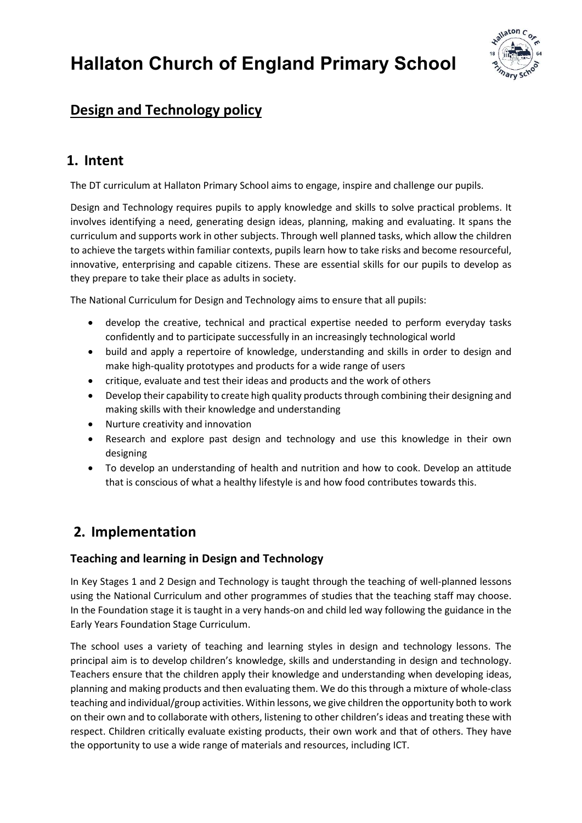# Hallaton Church of England Primary School



## Design and Technology policy

## 1. Intent

The DT curriculum at Hallaton Primary School aims to engage, inspire and challenge our pupils.

Design and Technology requires pupils to apply knowledge and skills to solve practical problems. It involves identifying a need, generating design ideas, planning, making and evaluating. It spans the curriculum and supports work in other subjects. Through well planned tasks, which allow the children to achieve the targets within familiar contexts, pupils learn how to take risks and become resourceful, innovative, enterprising and capable citizens. These are essential skills for our pupils to develop as they prepare to take their place as adults in society.

The National Curriculum for Design and Technology aims to ensure that all pupils:

- develop the creative, technical and practical expertise needed to perform everyday tasks confidently and to participate successfully in an increasingly technological world
- build and apply a repertoire of knowledge, understanding and skills in order to design and make high-quality prototypes and products for a wide range of users
- critique, evaluate and test their ideas and products and the work of others
- Develop their capability to create high quality products through combining their designing and making skills with their knowledge and understanding
- Nurture creativity and innovation
- Research and explore past design and technology and use this knowledge in their own designing
- To develop an understanding of health and nutrition and how to cook. Develop an attitude that is conscious of what a healthy lifestyle is and how food contributes towards this.

## 2. Implementation

## Teaching and learning in Design and Technology

In Key Stages 1 and 2 Design and Technology is taught through the teaching of well-planned lessons using the National Curriculum and other programmes of studies that the teaching staff may choose. In the Foundation stage it is taught in a very hands-on and child led way following the guidance in the Early Years Foundation Stage Curriculum.

The school uses a variety of teaching and learning styles in design and technology lessons. The principal aim is to develop children's knowledge, skills and understanding in design and technology. Teachers ensure that the children apply their knowledge and understanding when developing ideas, planning and making products and then evaluating them. We do this through a mixture of whole-class teaching and individual/group activities. Within lessons, we give children the opportunity both to work on their own and to collaborate with others, listening to other children's ideas and treating these with respect. Children critically evaluate existing products, their own work and that of others. They have the opportunity to use a wide range of materials and resources, including ICT.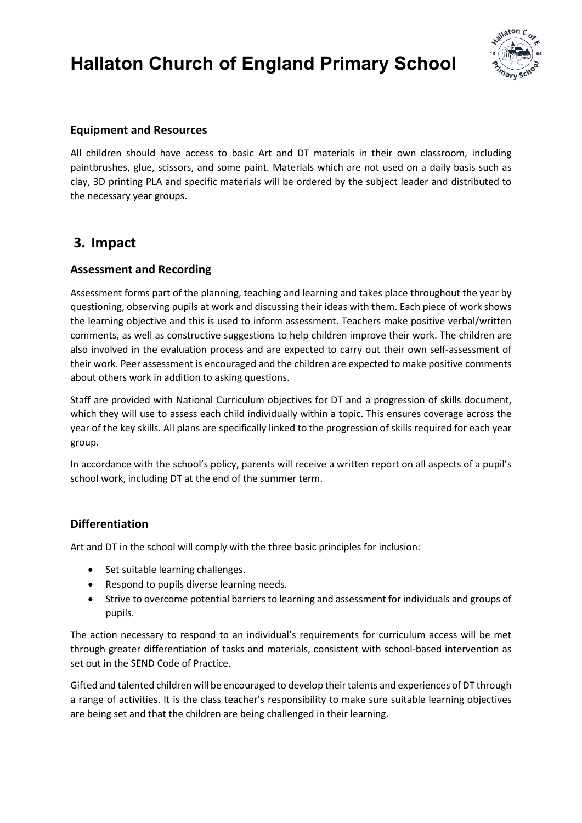# Hallaton Church of England Primary School



### Equipment and Resources

All children should have access to basic Art and DT materials in their own classroom, including paintbrushes, glue, scissors, and some paint. Materials which are not used on a daily basis such as clay, 3D printing PLA and specific materials will be ordered by the subject leader and distributed to the necessary year groups.

## 3. Impact

### Assessment and Recording

Assessment forms part of the planning, teaching and learning and takes place throughout the year by questioning, observing pupils at work and discussing their ideas with them. Each piece of work shows the learning objective and this is used to inform assessment. Teachers make positive verbal/written comments, as well as constructive suggestions to help children improve their work. The children are also involved in the evaluation process and are expected to carry out their own self-assessment of their work. Peer assessment is encouraged and the children are expected to make positive comments about others work in addition to asking questions.

Staff are provided with National Curriculum objectives for DT and a progression of skills document, which they will use to assess each child individually within a topic. This ensures coverage across the year of the key skills. All plans are specifically linked to the progression of skills required for each year group.

In accordance with the school's policy, parents will receive a written report on all aspects of a pupil's school work, including DT at the end of the summer term.

## Differentiation

Art and DT in the school will comply with the three basic principles for inclusion:

- Set suitable learning challenges.
- Respond to pupils diverse learning needs.
- Strive to overcome potential barriers to learning and assessment for individuals and groups of pupils.

The action necessary to respond to an individual's requirements for curriculum access will be met through greater differentiation of tasks and materials, consistent with school-based intervention as set out in the SEND Code of Practice.

Gifted and talented children will be encouraged to develop their talents and experiences of DT through a range of activities. It is the class teacher's responsibility to make sure suitable learning objectives are being set and that the children are being challenged in their learning.